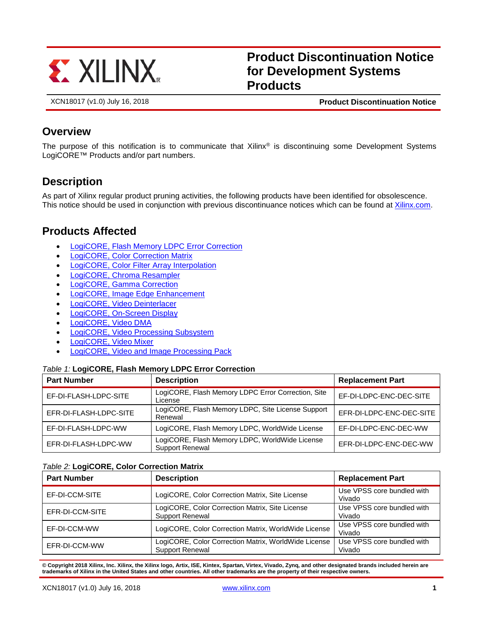

# **Product Discontinuation Notice for Development Systems Products**

XCN18017 (v1.0) July 16, 2018 **Product Discontinuation Notice**

### **Overview**

The purpose of this notification is to communicate that Xilinx® is discontinuing some Development Systems LogiCORE™ Products and/or part numbers.

## **Description**

As part of Xilinx regular product pruning activities, the following products have been identified for obsolescence. This notice should be used in conjunction with previous discontinuance notices which can be found at [Xilinx.com.](https://www.xilinx.com/support/documentation-navigation/customer-notices.html)

## **Products Affected**

- [LogiCORE, Flash Memory LDPC Error Correction](#page-0-0)
- [LogiCORE, Color Correction Matrix](#page-0-1)
- [LogiCORE, Color Filter Array Interpolation](#page-1-0)
- [LogiCORE, Chroma Resampler](#page-1-1)
- [LogiCORE, Gamma Correction](#page-1-2)
- [LogiCORE, Image Edge Enhancement](#page-1-3)
- [LogiCORE, Video Deinterlacer](#page-1-4)
- [LogiCORE, On-Screen Display](#page-2-0)
- [LogiCORE, Video DMA](#page-2-1)
- [LogiCORE, Video Processing Subsystem](#page-2-2)
- [LogiCORE, Video Mixer](#page-2-3)
- <span id="page-0-0"></span>• [LogiCORE, Video and Image Processing Pack](#page-2-4)

#### *Table 1:* **LogiCORE, Flash Memory LDPC Error Correction**

| <b>Part Number</b>     | <b>Description</b>                                                       | <b>Replacement Part</b>  |
|------------------------|--------------------------------------------------------------------------|--------------------------|
| EF-DI-FLASH-LDPC-SITE  | LogiCORE, Flash Memory LDPC Error Correction, Site<br>License            | EF-DI-LDPC-ENC-DEC-SITE  |
| EFR-DI-FLASH-LDPC-SITE | LogiCORE, Flash Memory LDPC, Site License Support<br>Renewal             | EFR-DI-LDPC-ENC-DEC-SITE |
| EF-DI-FLASH-LDPC-WW    | LogiCORE, Flash Memory LDPC, WorldWide License                           | EF-DI-LDPC-ENC-DEC-WW    |
| EFR-DI-FLASH-LDPC-WW   | LogiCORE, Flash Memory LDPC, WorldWide License<br><b>Support Renewal</b> | EFR-DI-LDPC-ENC-DEC-WW   |

#### <span id="page-0-1"></span>*Table 2:* **LogiCORE, Color Correction Matrix**

| <b>Part Number</b> | <b>Description</b>                                                             | <b>Replacement Part</b>              |
|--------------------|--------------------------------------------------------------------------------|--------------------------------------|
| EF-DI-CCM-SITE     | LogiCORE, Color Correction Matrix, Site License                                | Use VPSS core bundled with<br>Vivado |
| EFR-DI-CCM-SITE    | LogiCORE, Color Correction Matrix, Site License<br>Support Renewal             | Use VPSS core bundled with<br>Vivado |
| EF-DI-CCM-WW       | LogiCORE, Color Correction Matrix, WorldWide License                           | Use VPSS core bundled with<br>Vivado |
| EFR-DI-CCM-WW      | LogiCORE, Color Correction Matrix, WorldWide License<br><b>Support Renewal</b> | Use VPSS core bundled with<br>Vivado |

**© Copyright 2018 Xilinx, Inc. Xilinx, the Xilinx logo, Artix, ISE, Kintex, Spartan, Virtex, Vivado, Zynq, and other designated brands included herein are trademarks of Xilinx in the United States and other countries. All other trademarks are the property of their respective owners.**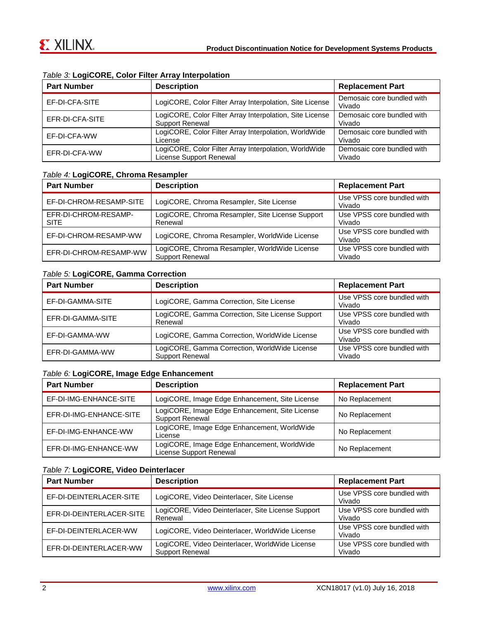| <b>Part Number</b> | <b>Description</b>                                                                 | <b>Replacement Part</b>              |
|--------------------|------------------------------------------------------------------------------------|--------------------------------------|
| EF-DI-CFA-SITE     | LogiCORE, Color Filter Array Interpolation, Site License                           | Demosaic core bundled with<br>Vivado |
| EFR-DI-CFA-SITE    | LogiCORE, Color Filter Array Interpolation, Site License<br><b>Support Renewal</b> | Demosaic core bundled with<br>Vivado |
| EF-DI-CFA-WW       | LogiCORE, Color Filter Array Interpolation, WorldWide<br>License                   | Demosaic core bundled with<br>Vivado |
| EFR-DI-CFA-WW      | LogiCORE, Color Filter Array Interpolation, WorldWide<br>License Support Renewal   | Demosaic core bundled with<br>Vivado |

### <span id="page-1-0"></span>*Table 3:* **LogiCORE, Color Filter Array Interpolation**

### <span id="page-1-1"></span>*Table 4:* **LogiCORE, Chroma Resampler**

| <b>Part Number</b>                  | <b>Description</b>                                                      | <b>Replacement Part</b>              |
|-------------------------------------|-------------------------------------------------------------------------|--------------------------------------|
| EF-DI-CHROM-RESAMP-SITE             | LogiCORE, Chroma Resampler, Site License                                | Use VPSS core bundled with<br>Vivado |
| EFR-DI-CHROM-RESAMP-<br><b>SITE</b> | LogiCORE, Chroma Resampler, Site License Support<br>Renewal             | Use VPSS core bundled with<br>Vivado |
| EF-DI-CHROM-RESAMP-WW               | LogiCORE, Chroma Resampler, WorldWide License                           | Use VPSS core bundled with<br>Vivado |
| EFR-DI-CHROM-RESAMP-WW              | LogiCORE, Chroma Resampler, WorldWide License<br><b>Support Renewal</b> | Use VPSS core bundled with<br>Vivado |

### <span id="page-1-2"></span>*Table 5:* **LogiCORE, Gamma Correction**

| <b>Part Number</b> | <b>Description</b>                                                      | <b>Replacement Part</b>              |
|--------------------|-------------------------------------------------------------------------|--------------------------------------|
| EF-DI-GAMMA-SITE   | LogiCORE, Gamma Correction, Site License                                | Use VPSS core bundled with<br>Vivado |
| EFR-DI-GAMMA-SITE  | LogiCORE, Gamma Correction, Site License Support<br>Renewal             | Use VPSS core bundled with<br>Vivado |
| EF-DI-GAMMA-WW     | LogiCORE, Gamma Correction, WorldWide License                           | Use VPSS core bundled with<br>Vivado |
| EFR-DI-GAMMA-WW    | LogiCORE, Gamma Correction, WorldWide License<br><b>Support Renewal</b> | Use VPSS core bundled with<br>Vivado |

### <span id="page-1-3"></span>*Table 6:* **LogiCORE, Image Edge Enhancement**

| <b>Part Number</b>      | <b>Description</b>                                                       | <b>Replacement Part</b> |
|-------------------------|--------------------------------------------------------------------------|-------------------------|
| EF-DI-IMG-ENHANCE-SITE  | LogiCORE, Image Edge Enhancement, Site License                           | No Replacement          |
| EFR-DI-IMG-ENHANCE-SITE | LogiCORE, Image Edge Enhancement, Site License<br><b>Support Renewal</b> | No Replacement          |
| EF-DI-IMG-ENHANCE-WW    | LogiCORE, Image Edge Enhancement, WorldWide<br>License                   | No Replacement          |
| EFR-DI-IMG-ENHANCE-WW   | LogiCORE, Image Edge Enhancement, WorldWide<br>License Support Renewal   | No Replacement          |

### <span id="page-1-4"></span>*Table 7:* **LogiCORE, Video Deinterlacer**

| <b>Part Number</b>       | <b>Description</b>                                                        | <b>Replacement Part</b>              |
|--------------------------|---------------------------------------------------------------------------|--------------------------------------|
| EF-DI-DEINTERLACER-SITE  | LogiCORE, Video Deinterlacer, Site License                                | Use VPSS core bundled with<br>Vivado |
| EFR-DI-DEINTERLACER-SITE | LogiCORE, Video Deinterlacer, Site License Support<br>Renewal             | Use VPSS core bundled with<br>Vivado |
| EF-DI-DEINTERLACER-WW    | LogiCORE, Video Deinterlacer, WorldWide License                           | Use VPSS core bundled with<br>Vivado |
| EFR-DI-DEINTERLACER-WW   | LogiCORE, Video Deinterlacer, WorldWide License<br><b>Support Renewal</b> | Use VPSS core bundled with<br>Vivado |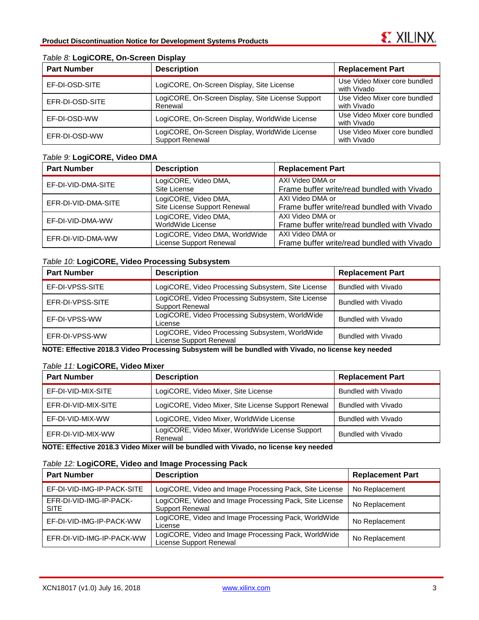| <b>Part Number</b> | <b>Description</b>                                                | <b>Replacement Part</b>                     |
|--------------------|-------------------------------------------------------------------|---------------------------------------------|
| EF-DI-OSD-SITE     | LogiCORE, On-Screen Display, Site License                         | Use Video Mixer core bundled<br>with Vivado |
| EFR-DI-OSD-SITE    | LogiCORE, On-Screen Display, Site License Support<br>Renewal      | Use Video Mixer core bundled<br>with Vivado |
| EF-DI-OSD-WW       | LogiCORE, On-Screen Display, WorldWide License                    | Use Video Mixer core bundled<br>with Vivado |
| EFR-DI-OSD-WW      | LogiCORE, On-Screen Display, WorldWide License<br>Support Renewal | Use Video Mixer core bundled<br>with Vivado |

#### <span id="page-2-0"></span>*Table 8:* **LogiCORE, On-Screen Display**

#### <span id="page-2-1"></span>*Table 9:* **LogiCORE, Video DMA**

| <b>Part Number</b>  | <b>Description</b>                                        | <b>Replacement Part</b>                                         |
|---------------------|-----------------------------------------------------------|-----------------------------------------------------------------|
| EF-DI-VID-DMA-SITE  | LogiCORE, Video DMA,<br>Site License                      | AXI Video DMA or<br>Frame buffer write/read bundled with Vivado |
| EFR-DI-VID-DMA-SITE | LogiCORE, Video DMA,<br>Site License Support Renewal      | AXI Video DMA or<br>Frame buffer write/read bundled with Vivado |
| EF-DI-VID-DMA-WW    | LogiCORE, Video DMA,<br>WorldWide License                 | AXI Video DMA or<br>Frame buffer write/read bundled with Vivado |
| EFR-DI-VID-DMA-WW   | LogiCORE, Video DMA, WorldWide<br>License Support Renewal | AXI Video DMA or<br>Frame buffer write/read bundled with Vivado |

### <span id="page-2-2"></span>*Table 10:* **LogiCORE, Video Processing Subsystem**

| <b>Part Number</b> | <b>Description</b>                                                           | <b>Replacement Part</b> |
|--------------------|------------------------------------------------------------------------------|-------------------------|
| EF-DI-VPSS-SITE    | LogiCORE, Video Processing Subsystem, Site License                           | Bundled with Vivado     |
| EFR-DI-VPSS-SITE   | LogiCORE, Video Processing Subsystem, Site License<br><b>Support Renewal</b> | Bundled with Vivado     |
| EF-DI-VPSS-WW      | LogiCORE, Video Processing Subsystem, WorldWide<br>License                   | Bundled with Vivado     |
| EFR-DI-VPSS-WW     | LogiCORE, Video Processing Subsystem, WorldWide<br>License Support Renewal   | Bundled with Vivado     |

**NOTE: Effective 2018.3 Video Processing Subsystem will be bundled with Vivado, no license key needed**

#### <span id="page-2-3"></span>*Table 11:* **LogiCORE, Video Mixer**

| <b>Part Number</b>  | <b>Description</b>                                          | <b>Replacement Part</b>    |
|---------------------|-------------------------------------------------------------|----------------------------|
| EF-DI-VID-MIX-SITE  | LogiCORE, Video Mixer, Site License                         | Bundled with Vivado        |
| EFR-DI-VID-MIX-SITE | LogiCORE, Video Mixer, Site License Support Renewal         | <b>Bundled with Vivado</b> |
| EF-DI-VID-MIX-WW    | LogiCORE, Video Mixer, WorldWide License                    | Bundled with Vivado        |
| EFR-DI-VID-MIX-WW   | LogiCORE, Video Mixer, WorldWide License Support<br>Renewal | Bundled with Vivado        |

**NOTE: Effective 2018.3 Video Mixer will be bundled with Vivado, no license key needed**

#### <span id="page-2-4"></span>*Table 12:* **LogiCORE, Video and Image Processing Pack**

| <b>Part Number</b>                     | <b>Description</b>                                                                | <b>Replacement Part</b> |
|----------------------------------------|-----------------------------------------------------------------------------------|-------------------------|
| EF-DI-VID-IMG-IP-PACK-SITE             | LogiCORE, Video and Image Processing Pack, Site License                           | No Replacement          |
| EFR-DI-VID-IMG-IP-PACK-<br><b>SITE</b> | LogiCORE, Video and Image Processing Pack, Site License<br><b>Support Renewal</b> | No Replacement          |
| EF-DI-VID-IMG-IP-PACK-WW               | LogiCORE, Video and Image Processing Pack, WorldWide<br>License                   | No Replacement          |
| EFR-DI-VID-IMG-IP-PACK-WW              | LogiCORE, Video and Image Processing Pack, WorldWide<br>License Support Renewal   | No Replacement          |